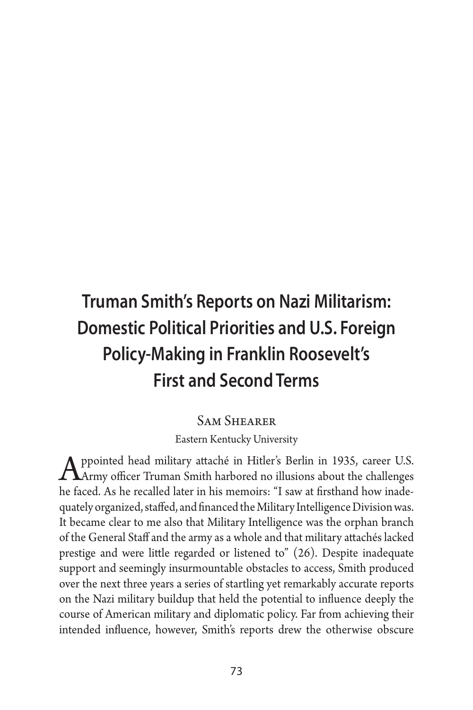# **Truman Smith's Reports on Nazi Militarism: Domestic Political Priorities and U.S. Foreign Policy-Making in Franklin Roosevelt's First and Second Terms**

### Sam Shearer

Eastern Kentucky University

Appointed head military attaché in Hitler's Berlin in 1935, career U.S.<br>Army officer Truman Smith harbored no illusions about the challenges he faced. As he recalled later in his memoirs: "I saw at firsthand how inadequately organized, staffed, and financed the Military Intelligence Division was. It became clear to me also that Military Intelligence was the orphan branch of the General Staff and the army as a whole and that military attachés lacked prestige and were little regarded or listened to" (26). Despite inadequate support and seemingly insurmountable obstacles to access, Smith produced over the next three years a series of startling yet remarkably accurate reports on the Nazi military buildup that held the potential to influence deeply the course of American military and diplomatic policy. Far from achieving their intended influence, however, Smith's reports drew the otherwise obscure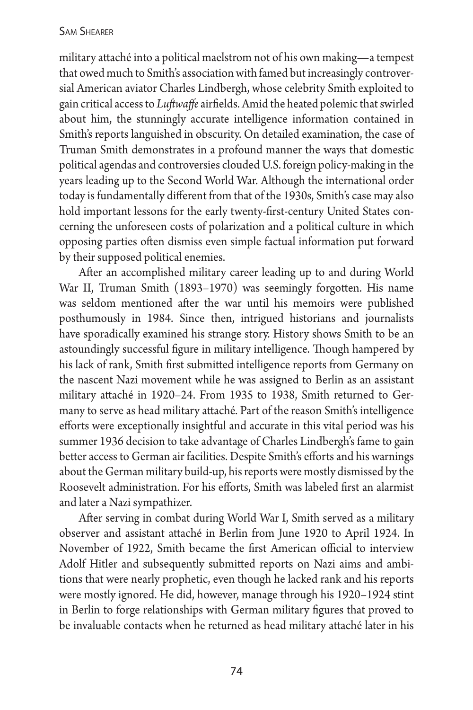military attaché into a political maelstrom not of his own making—a tempest that owed much to Smith's association with famed but increasingly controversial American aviator Charles Lindbergh, whose celebrity Smith exploited to gain critical access to *Luftwaffe* airfields. Amid the heated polemic that swirled about him, the stunningly accurate intelligence information contained in Smith's reports languished in obscurity. On detailed examination, the case of Truman Smith demonstrates in a profound manner the ways that domestic political agendas and controversies clouded U.S. foreign policy-making in the years leading up to the Second World War. Although the international order today is fundamentally different from that of the 1930s, Smith's case may also hold important lessons for the early twenty-first-century United States concerning the unforeseen costs of polarization and a political culture in which opposing parties often dismiss even simple factual information put forward by their supposed political enemies.

After an accomplished military career leading up to and during World War II, Truman Smith (1893–1970) was seemingly forgotten. His name was seldom mentioned after the war until his memoirs were published posthumously in 1984. Since then, intrigued historians and journalists have sporadically examined his strange story. History shows Smith to be an astoundingly successful figure in military intelligence. Though hampered by his lack of rank, Smith first submitted intelligence reports from Germany on the nascent Nazi movement while he was assigned to Berlin as an assistant military attaché in 1920–24. From 1935 to 1938, Smith returned to Germany to serve as head military attaché. Part of the reason Smith's intelligence efforts were exceptionally insightful and accurate in this vital period was his summer 1936 decision to take advantage of Charles Lindbergh's fame to gain better access to German air facilities. Despite Smith's efforts and his warnings about the German military build-up, his reports were mostly dismissed by the Roosevelt administration. For his efforts, Smith was labeled first an alarmist and later a Nazi sympathizer.

After serving in combat during World War I, Smith served as a military observer and assistant attaché in Berlin from June 1920 to April 1924. In November of 1922, Smith became the first American official to interview Adolf Hitler and subsequently submitted reports on Nazi aims and ambitions that were nearly prophetic, even though he lacked rank and his reports were mostly ignored. He did, however, manage through his 1920–1924 stint in Berlin to forge relationships with German military figures that proved to be invaluable contacts when he returned as head military attaché later in his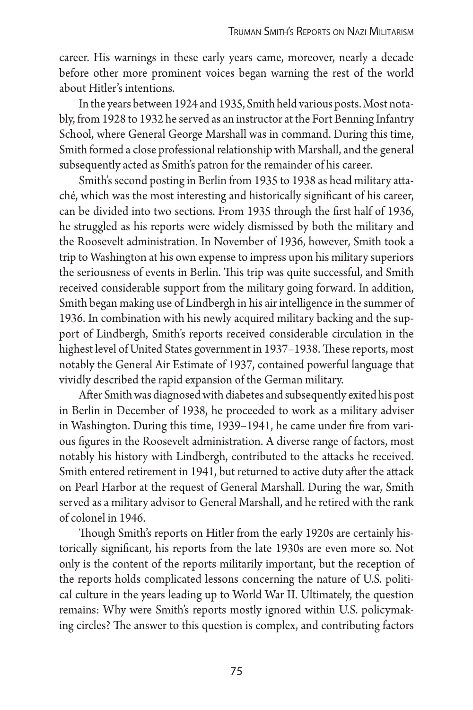career. His warnings in these early years came, moreover, nearly a decade before other more prominent voices began warning the rest of the world about Hitler's intentions.

In the years between 1924 and 1935, Smith held various posts. Most notably, from 1928 to 1932 he served as an instructor at the Fort Benning Infantry School, where General George Marshall was in command. During this time, Smith formed a close professional relationship with Marshall, and the general subsequently acted as Smith's patron for the remainder of his career.

Smith's second posting in Berlin from 1935 to 1938 as head military attaché, which was the most interesting and historically significant of his career, can be divided into two sections. From 1935 through the first half of 1936, he struggled as his reports were widely dismissed by both the military and the Roosevelt administration. In November of 1936, however, Smith took a trip to Washington at his own expense to impress upon his military superiors the seriousness of events in Berlin. This trip was quite successful, and Smith received considerable support from the military going forward. In addition, Smith began making use of Lindbergh in his air intelligence in the summer of 1936. In combination with his newly acquired military backing and the support of Lindbergh, Smith's reports received considerable circulation in the highest level of United States government in 1937–1938. These reports, most notably the General Air Estimate of 1937, contained powerful language that vividly described the rapid expansion of the German military.

After Smith was diagnosed with diabetes and subsequently exited his post in Berlin in December of 1938, he proceeded to work as a military adviser in Washington. During this time, 1939–1941, he came under fire from various figures in the Roosevelt administration. A diverse range of factors, most notably his history with Lindbergh, contributed to the attacks he received. Smith entered retirement in 1941, but returned to active duty after the attack on Pearl Harbor at the request of General Marshall. During the war, Smith served as a military advisor to General Marshall, and he retired with the rank of colonel in 1946.

Though Smith's reports on Hitler from the early 1920s are certainly historically significant, his reports from the late 1930s are even more so. Not only is the content of the reports militarily important, but the reception of the reports holds complicated lessons concerning the nature of U.S. political culture in the years leading up to World War II. Ultimately, the question remains: Why were Smith's reports mostly ignored within U.S. policymaking circles? The answer to this question is complex, and contributing factors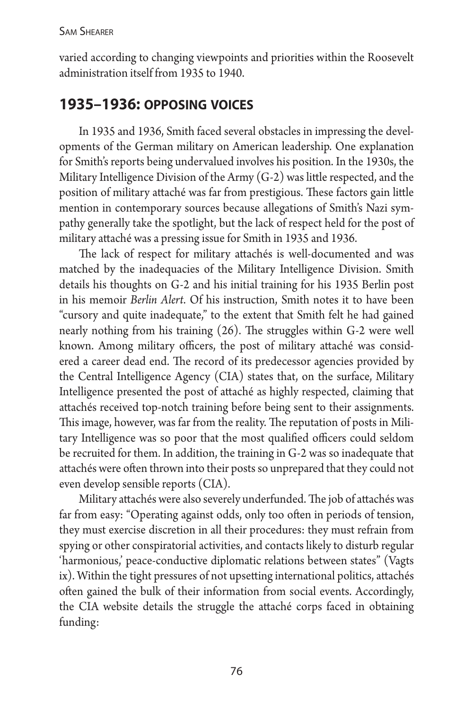varied according to changing viewpoints and priorities within the Roosevelt administration itself from 1935 to 1940.

# **1935–1936: opposing voices**

In 1935 and 1936, Smith faced several obstacles in impressing the developments of the German military on American leadership. One explanation for Smith's reports being undervalued involves his position. In the 1930s, the Military Intelligence Division of the Army (G-2) was little respected, and the position of military attaché was far from prestigious. These factors gain little mention in contemporary sources because allegations of Smith's Nazi sympathy generally take the spotlight, but the lack of respect held for the post of military attaché was a pressing issue for Smith in 1935 and 1936.

The lack of respect for military attachés is well-documented and was matched by the inadequacies of the Military Intelligence Division. Smith details his thoughts on G-2 and his initial training for his 1935 Berlin post in his memoir *Berlin Alert*. Of his instruction, Smith notes it to have been "cursory and quite inadequate," to the extent that Smith felt he had gained nearly nothing from his training (26). The struggles within G-2 were well known. Among military officers, the post of military attaché was considered a career dead end. The record of its predecessor agencies provided by the Central Intelligence Agency (CIA) states that, on the surface, Military Intelligence presented the post of attaché as highly respected, claiming that attachés received top-notch training before being sent to their assignments. This image, however, was far from the reality. The reputation of posts in Military Intelligence was so poor that the most qualified officers could seldom be recruited for them. In addition, the training in G-2 was so inadequate that attachés were often thrown into their posts so unprepared that they could not even develop sensible reports (CIA).

Military attachés were also severely underfunded. The job of attachés was far from easy: "Operating against odds, only too often in periods of tension, they must exercise discretion in all their procedures: they must refrain from spying or other conspiratorial activities, and contacts likely to disturb regular 'harmonious,' peace-conductive diplomatic relations between states" (Vagts ix). Within the tight pressures of not upsetting international politics, attachés often gained the bulk of their information from social events. Accordingly, the CIA website details the struggle the attaché corps faced in obtaining funding: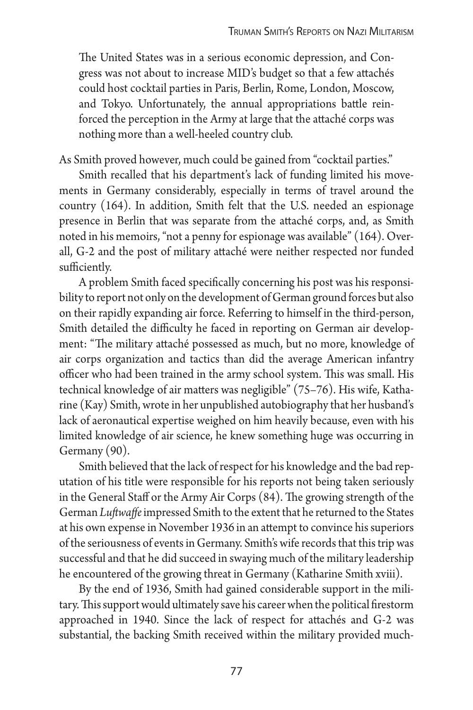The United States was in a serious economic depression, and Congress was not about to increase MID's budget so that a few attachés could host cocktail parties in Paris, Berlin, Rome, London, Moscow, and Tokyo. Unfortunately, the annual appropriations battle reinforced the perception in the Army at large that the attaché corps was nothing more than a well-heeled country club.

As Smith proved however, much could be gained from "cocktail parties."

Smith recalled that his department's lack of funding limited his movements in Germany considerably, especially in terms of travel around the country (164). In addition, Smith felt that the U.S. needed an espionage presence in Berlin that was separate from the attaché corps, and, as Smith noted in his memoirs, "not a penny for espionage was available" (164). Overall, G-2 and the post of military attaché were neither respected nor funded sufficiently.

A problem Smith faced specifically concerning his post was his responsibility to report not only on the development of German ground forces but also on their rapidly expanding air force. Referring to himself in the third-person, Smith detailed the difficulty he faced in reporting on German air development: "The military attaché possessed as much, but no more, knowledge of air corps organization and tactics than did the average American infantry officer who had been trained in the army school system. This was small. His technical knowledge of air matters was negligible" (75–76). His wife, Katharine (Kay) Smith, wrote in her unpublished autobiography that her husband's lack of aeronautical expertise weighed on him heavily because, even with his limited knowledge of air science, he knew something huge was occurring in Germany (90).

Smith believed that the lack of respect for his knowledge and the bad reputation of his title were responsible for his reports not being taken seriously in the General Staff or the Army Air Corps (84). The growing strength of the German *Luftwaffe* impressed Smith to the extent that he returned to the States at his own expense in November 1936 in an attempt to convince his superiors of the seriousness of events in Germany. Smith's wife records that this trip was successful and that he did succeed in swaying much of the military leadership he encountered of the growing threat in Germany (Katharine Smith xviii).

By the end of 1936, Smith had gained considerable support in the military. This support would ultimately save his career when the political firestorm approached in 1940. Since the lack of respect for attachés and G-2 was substantial, the backing Smith received within the military provided much-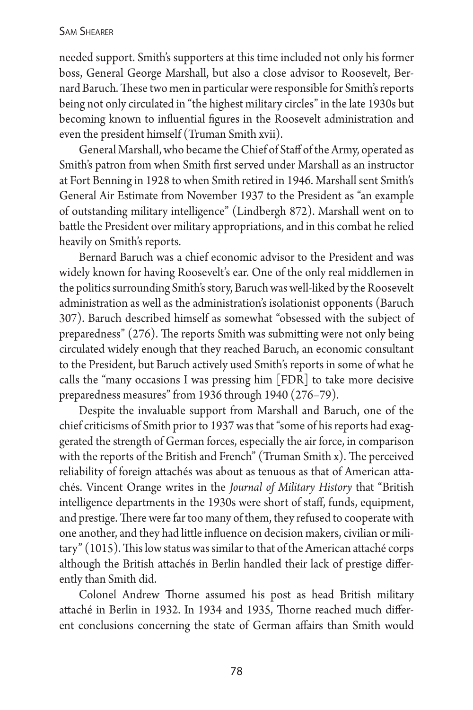#### Sam Shearer

needed support. Smith's supporters at this time included not only his former boss, General George Marshall, but also a close advisor to Roosevelt, Bernard Baruch. These two men in particular were responsible for Smith's reports being not only circulated in "the highest military circles" in the late 1930s but becoming known to influential figures in the Roosevelt administration and even the president himself (Truman Smith xvii).

General Marshall, who became the Chief of Staff of the Army, operated as Smith's patron from when Smith first served under Marshall as an instructor at Fort Benning in 1928 to when Smith retired in 1946. Marshall sent Smith's General Air Estimate from November 1937 to the President as "an example of outstanding military intelligence" (Lindbergh 872). Marshall went on to battle the President over military appropriations, and in this combat he relied heavily on Smith's reports.

Bernard Baruch was a chief economic advisor to the President and was widely known for having Roosevelt's ear. One of the only real middlemen in the politics surrounding Smith's story, Baruch was well-liked by the Roosevelt administration as well as the administration's isolationist opponents (Baruch 307). Baruch described himself as somewhat "obsessed with the subject of preparedness" (276). The reports Smith was submitting were not only being circulated widely enough that they reached Baruch, an economic consultant to the President, but Baruch actively used Smith's reports in some of what he calls the "many occasions I was pressing him [FDR] to take more decisive preparedness measures" from 1936 through 1940 (276–79).

Despite the invaluable support from Marshall and Baruch, one of the chief criticisms of Smith prior to 1937 was that "some of his reports had exaggerated the strength of German forces, especially the air force, in comparison with the reports of the British and French" (Truman Smith x). The perceived reliability of foreign attachés was about as tenuous as that of American attachés. Vincent Orange writes in the *Journal of Military History* that "British intelligence departments in the 1930s were short of staff, funds, equipment, and prestige. There were far too many of them, they refused to cooperate with one another, and they had little influence on decision makers, civilian or military" (1015). This low status was similar to that of the American attaché corps although the British attachés in Berlin handled their lack of prestige differently than Smith did.

Colonel Andrew Thorne assumed his post as head British military attaché in Berlin in 1932. In 1934 and 1935, Thorne reached much different conclusions concerning the state of German affairs than Smith would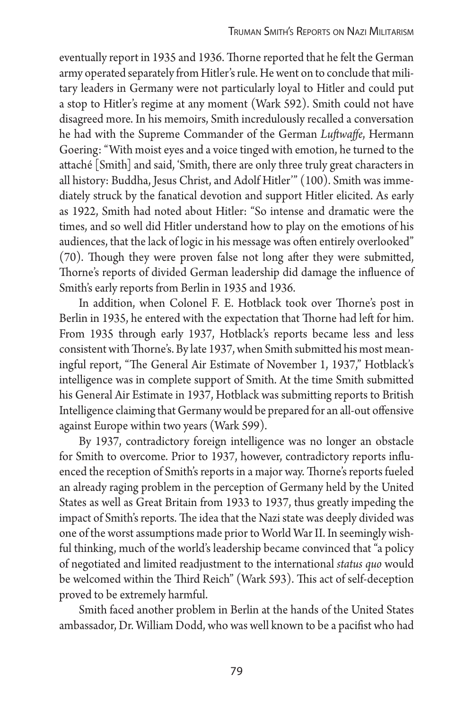eventually report in 1935 and 1936. Thorne reported that he felt the German army operated separately from Hitler's rule. He went on to conclude that military leaders in Germany were not particularly loyal to Hitler and could put a stop to Hitler's regime at any moment (Wark 592). Smith could not have disagreed more. In his memoirs, Smith incredulously recalled a conversation he had with the Supreme Commander of the German *Luftwaffe*, Hermann Goering: "With moist eyes and a voice tinged with emotion, he turned to the attaché [Smith] and said, 'Smith, there are only three truly great characters in all history: Buddha, Jesus Christ, and Adolf Hitler'" (100). Smith was immediately struck by the fanatical devotion and support Hitler elicited. As early as 1922, Smith had noted about Hitler: "So intense and dramatic were the times, and so well did Hitler understand how to play on the emotions of his audiences, that the lack of logic in his message was often entirely overlooked" (70). Though they were proven false not long after they were submitted, Thorne's reports of divided German leadership did damage the influence of Smith's early reports from Berlin in 1935 and 1936.

In addition, when Colonel F. E. Hotblack took over Thorne's post in Berlin in 1935, he entered with the expectation that Thorne had left for him. From 1935 through early 1937, Hotblack's reports became less and less consistent with Thorne's. By late 1937, when Smith submitted his most meaningful report, "The General Air Estimate of November 1, 1937," Hotblack's intelligence was in complete support of Smith. At the time Smith submitted his General Air Estimate in 1937, Hotblack was submitting reports to British Intelligence claiming that Germany would be prepared for an all-out offensive against Europe within two years (Wark 599).

By 1937, contradictory foreign intelligence was no longer an obstacle for Smith to overcome. Prior to 1937, however, contradictory reports influenced the reception of Smith's reports in a major way. Thorne's reports fueled an already raging problem in the perception of Germany held by the United States as well as Great Britain from 1933 to 1937, thus greatly impeding the impact of Smith's reports. The idea that the Nazi state was deeply divided was one of the worst assumptions made prior to World War II. In seemingly wishful thinking, much of the world's leadership became convinced that "a policy of negotiated and limited readjustment to the international *status quo* would be welcomed within the Third Reich" (Wark 593). This act of self-deception proved to be extremely harmful.

Smith faced another problem in Berlin at the hands of the United States ambassador, Dr. William Dodd, who was well known to be a pacifist who had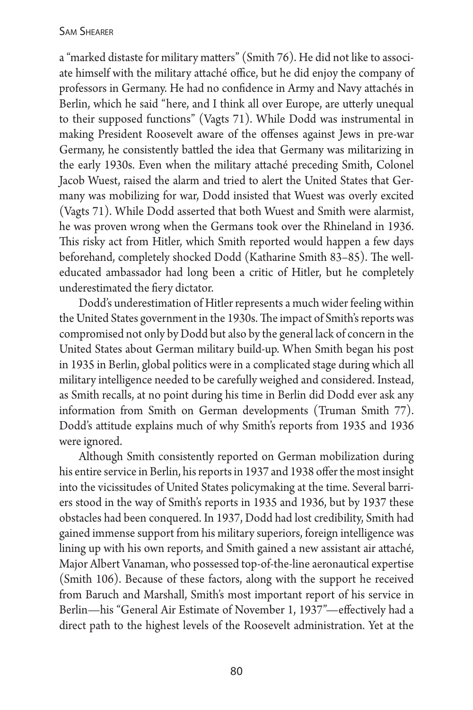### Sam Shearer

a "marked distaste for military matters" (Smith 76). He did not like to associate himself with the military attaché office, but he did enjoy the company of professors in Germany. He had no confidence in Army and Navy attachés in Berlin, which he said "here, and I think all over Europe, are utterly unequal to their supposed functions" (Vagts 71). While Dodd was instrumental in making President Roosevelt aware of the offenses against Jews in pre-war Germany, he consistently battled the idea that Germany was militarizing in the early 1930s. Even when the military attaché preceding Smith, Colonel Jacob Wuest, raised the alarm and tried to alert the United States that Germany was mobilizing for war, Dodd insisted that Wuest was overly excited (Vagts 71). While Dodd asserted that both Wuest and Smith were alarmist, he was proven wrong when the Germans took over the Rhineland in 1936. This risky act from Hitler, which Smith reported would happen a few days beforehand, completely shocked Dodd (Katharine Smith 83–85). The welleducated ambassador had long been a critic of Hitler, but he completely underestimated the fiery dictator.

Dodd's underestimation of Hitler represents a much wider feeling within the United States government in the 1930s. The impact of Smith's reports was compromised not only by Dodd but also by the general lack of concern in the United States about German military build-up. When Smith began his post in 1935 in Berlin, global politics were in a complicated stage during which all military intelligence needed to be carefully weighed and considered. Instead, as Smith recalls, at no point during his time in Berlin did Dodd ever ask any information from Smith on German developments (Truman Smith 77). Dodd's attitude explains much of why Smith's reports from 1935 and 1936 were ignored.

Although Smith consistently reported on German mobilization during his entire service in Berlin, his reports in 1937 and 1938 offer the most insight into the vicissitudes of United States policymaking at the time. Several barriers stood in the way of Smith's reports in 1935 and 1936, but by 1937 these obstacles had been conquered. In 1937, Dodd had lost credibility, Smith had gained immense support from his military superiors, foreign intelligence was lining up with his own reports, and Smith gained a new assistant air attaché, Major Albert Vanaman, who possessed top-of-the-line aeronautical expertise (Smith 106). Because of these factors, along with the support he received from Baruch and Marshall, Smith's most important report of his service in Berlin—his "General Air Estimate of November 1, 1937"—effectively had a direct path to the highest levels of the Roosevelt administration. Yet at the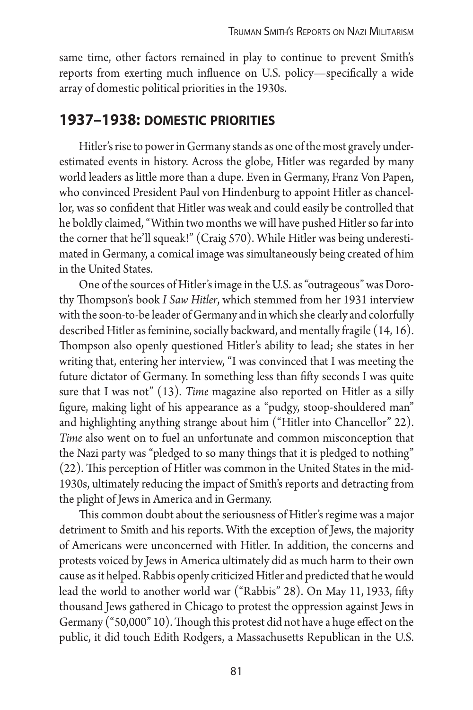same time, other factors remained in play to continue to prevent Smith's reports from exerting much influence on U.S. policy—specifically a wide array of domestic political priorities in the 1930s.

# **1937–1938: domestic priorities**

Hitler's rise to power in Germany stands as one of the most gravely underestimated events in history. Across the globe, Hitler was regarded by many world leaders as little more than a dupe. Even in Germany, Franz Von Papen, who convinced President Paul von Hindenburg to appoint Hitler as chancellor, was so confident that Hitler was weak and could easily be controlled that he boldly claimed, "Within two months we will have pushed Hitler so far into the corner that he'll squeak!" (Craig 570). While Hitler was being underestimated in Germany, a comical image was simultaneously being created of him in the United States.

One of the sources of Hitler's image in the U.S. as "outrageous" was Dorothy Thompson's book *I Saw Hitler*, which stemmed from her 1931 interview with the soon-to-be leader of Germany and in which she clearly and colorfully described Hitler as feminine, socially backward, and mentally fragile (14, 16). Thompson also openly questioned Hitler's ability to lead; she states in her writing that, entering her interview, "I was convinced that I was meeting the future dictator of Germany. In something less than fifty seconds I was quite sure that I was not" (13). *Time* magazine also reported on Hitler as a silly figure, making light of his appearance as a "pudgy, stoop-shouldered man" and highlighting anything strange about him ("Hitler into Chancellor" 22). *Time* also went on to fuel an unfortunate and common misconception that the Nazi party was "pledged to so many things that it is pledged to nothing" (22). This perception of Hitler was common in the United States in the mid-1930s, ultimately reducing the impact of Smith's reports and detracting from the plight of Jews in America and in Germany.

This common doubt about the seriousness of Hitler's regime was a major detriment to Smith and his reports. With the exception of Jews, the majority of Americans were unconcerned with Hitler. In addition, the concerns and protests voiced by Jews in America ultimately did as much harm to their own cause as it helped. Rabbis openly criticized Hitler and predicted that he would lead the world to another world war ("Rabbis" 28). On May 11, 1933, fifty thousand Jews gathered in Chicago to protest the oppression against Jews in Germany ("50,000" 10). Though this protest did not have a huge effect on the public, it did touch Edith Rodgers, a Massachusetts Republican in the U.S.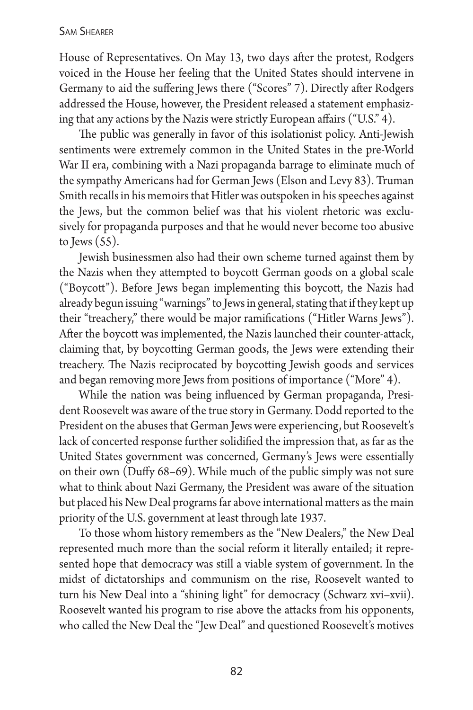#### Sam Shearer

House of Representatives. On May 13, two days after the protest, Rodgers voiced in the House her feeling that the United States should intervene in Germany to aid the suffering Jews there ("Scores" 7). Directly after Rodgers addressed the House, however, the President released a statement emphasizing that any actions by the Nazis were strictly European affairs ("U.S." 4).

The public was generally in favor of this isolationist policy. Anti-Jewish sentiments were extremely common in the United States in the pre-World War II era, combining with a Nazi propaganda barrage to eliminate much of the sympathy Americans had for German Jews (Elson and Levy 83). Truman Smith recalls in his memoirs that Hitler was outspoken in his speeches against the Jews, but the common belief was that his violent rhetoric was exclusively for propaganda purposes and that he would never become too abusive to Jews (55).

Jewish businessmen also had their own scheme turned against them by the Nazis when they attempted to boycott German goods on a global scale ("Boycott"). Before Jews began implementing this boycott, the Nazis had already begun issuing "warnings" to Jews in general, stating that if they kept up their "treachery," there would be major ramifications ("Hitler Warns Jews"). After the boycott was implemented, the Nazis launched their counter-attack, claiming that, by boycotting German goods, the Jews were extending their treachery. The Nazis reciprocated by boycotting Jewish goods and services and began removing more Jews from positions of importance ("More" 4).

While the nation was being influenced by German propaganda, President Roosevelt was aware of the true story in Germany. Dodd reported to the President on the abuses that German Jews were experiencing, but Roosevelt's lack of concerted response further solidified the impression that, as far as the United States government was concerned, Germany's Jews were essentially on their own (Duffy 68–69). While much of the public simply was not sure what to think about Nazi Germany, the President was aware of the situation but placed his New Deal programs far above international matters as the main priority of the U.S. government at least through late 1937.

To those whom history remembers as the "New Dealers," the New Deal represented much more than the social reform it literally entailed; it represented hope that democracy was still a viable system of government. In the midst of dictatorships and communism on the rise, Roosevelt wanted to turn his New Deal into a "shining light" for democracy (Schwarz xvi–xvii). Roosevelt wanted his program to rise above the attacks from his opponents, who called the New Deal the "Jew Deal" and questioned Roosevelt's motives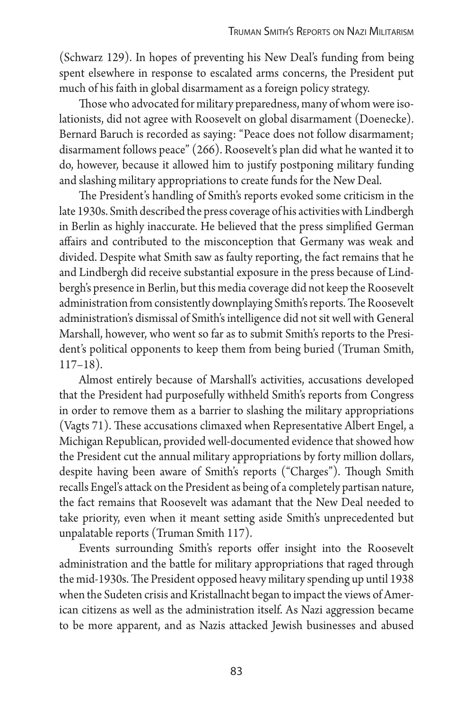(Schwarz 129). In hopes of preventing his New Deal's funding from being spent elsewhere in response to escalated arms concerns, the President put much of his faith in global disarmament as a foreign policy strategy.

Those who advocated for military preparedness, many of whom were isolationists, did not agree with Roosevelt on global disarmament (Doenecke). Bernard Baruch is recorded as saying: "Peace does not follow disarmament; disarmament follows peace" (266). Roosevelt's plan did what he wanted it to do, however, because it allowed him to justify postponing military funding and slashing military appropriations to create funds for the New Deal.

The President's handling of Smith's reports evoked some criticism in the late 1930s. Smith described the press coverage of his activities with Lindbergh in Berlin as highly inaccurate. He believed that the press simplified German affairs and contributed to the misconception that Germany was weak and divided. Despite what Smith saw as faulty reporting, the fact remains that he and Lindbergh did receive substantial exposure in the press because of Lindbergh's presence in Berlin, but this media coverage did not keep the Roosevelt administration from consistently downplaying Smith's reports. The Roosevelt administration's dismissal of Smith's intelligence did not sit well with General Marshall, however, who went so far as to submit Smith's reports to the President's political opponents to keep them from being buried (Truman Smith, 117–18).

Almost entirely because of Marshall's activities, accusations developed that the President had purposefully withheld Smith's reports from Congress in order to remove them as a barrier to slashing the military appropriations (Vagts 71). These accusations climaxed when Representative Albert Engel, a Michigan Republican, provided well-documented evidence that showed how the President cut the annual military appropriations by forty million dollars, despite having been aware of Smith's reports ("Charges"). Though Smith recalls Engel's attack on the President as being of a completely partisan nature, the fact remains that Roosevelt was adamant that the New Deal needed to take priority, even when it meant setting aside Smith's unprecedented but unpalatable reports (Truman Smith 117).

Events surrounding Smith's reports offer insight into the Roosevelt administration and the battle for military appropriations that raged through the mid-1930s. The President opposed heavy military spending up until 1938 when the Sudeten crisis and Kristallnacht began to impact the views of American citizens as well as the administration itself. As Nazi aggression became to be more apparent, and as Nazis attacked Jewish businesses and abused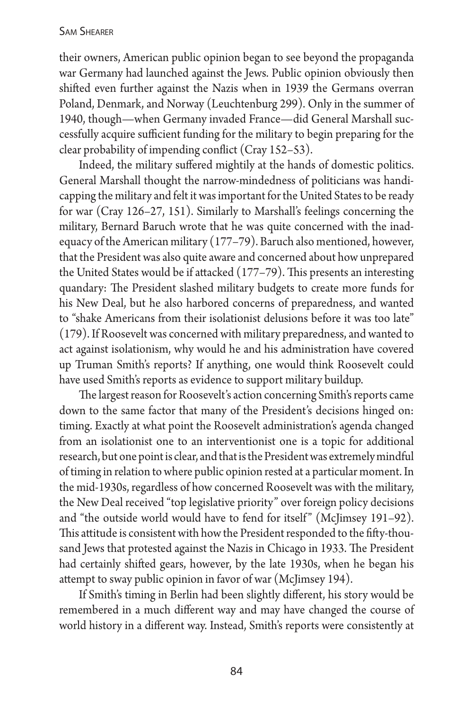their owners, American public opinion began to see beyond the propaganda war Germany had launched against the Jews. Public opinion obviously then shifted even further against the Nazis when in 1939 the Germans overran Poland, Denmark, and Norway (Leuchtenburg 299). Only in the summer of 1940, though—when Germany invaded France—did General Marshall successfully acquire sufficient funding for the military to begin preparing for the clear probability of impending conflict (Cray 152–53).

Indeed, the military suffered mightily at the hands of domestic politics. General Marshall thought the narrow-mindedness of politicians was handicapping the military and felt it was important for the United States to be ready for war (Cray 126–27, 151). Similarly to Marshall's feelings concerning the military, Bernard Baruch wrote that he was quite concerned with the inadequacy of the American military (177–79). Baruch also mentioned, however, that the President was also quite aware and concerned about how unprepared the United States would be if attacked (177–79). This presents an interesting quandary: The President slashed military budgets to create more funds for his New Deal, but he also harbored concerns of preparedness, and wanted to "shake Americans from their isolationist delusions before it was too late" (179). If Roosevelt was concerned with military preparedness, and wanted to act against isolationism, why would he and his administration have covered up Truman Smith's reports? If anything, one would think Roosevelt could have used Smith's reports as evidence to support military buildup.

The largest reason for Roosevelt's action concerning Smith's reports came down to the same factor that many of the President's decisions hinged on: timing. Exactly at what point the Roosevelt administration's agenda changed from an isolationist one to an interventionist one is a topic for additional research, but one point is clear, and that is the President was extremely mindful of timing in relation to where public opinion rested at a particular moment. In the mid-1930s, regardless of how concerned Roosevelt was with the military, the New Deal received "top legislative priority" over foreign policy decisions and "the outside world would have to fend for itself" (McJimsey 191–92). This attitude is consistent with how the President responded to the fifty-thousand Jews that protested against the Nazis in Chicago in 1933. The President had certainly shifted gears, however, by the late 1930s, when he began his attempt to sway public opinion in favor of war (McJimsey 194).

If Smith's timing in Berlin had been slightly different, his story would be remembered in a much different way and may have changed the course of world history in a different way. Instead, Smith's reports were consistently at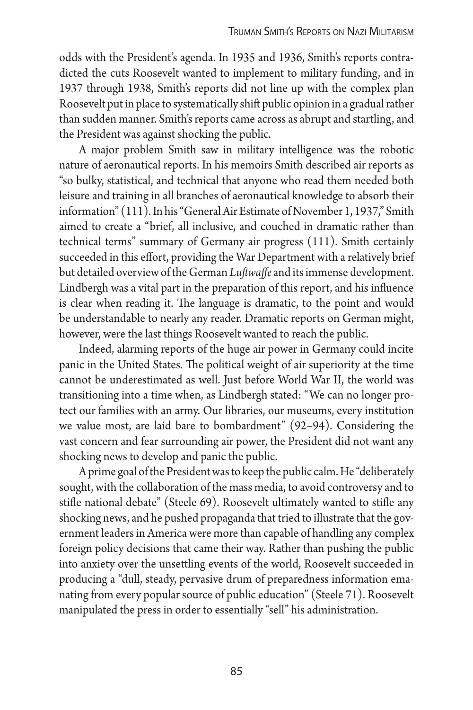odds with the President's agenda. In 1935 and 1936, Smith's reports contradicted the cuts Roosevelt wanted to implement to military funding, and in 1937 through 1938, Smith's reports did not line up with the complex plan Roosevelt put in place to systematically shift public opinion in a gradual rather than sudden manner. Smith's reports came across as abrupt and startling, and the President was against shocking the public.

A major problem Smith saw in military intelligence was the robotic nature of aeronautical reports. In his memoirs Smith described air reports as "so bulky, statistical, and technical that anyone who read them needed both leisure and training in all branches of aeronautical knowledge to absorb their information" (111). In his "General Air Estimate of November 1, 1937," Smith aimed to create a "brief, all inclusive, and couched in dramatic rather than technical terms" summary of Germany air progress (111). Smith certainly succeeded in this effort, providing the War Department with a relatively brief but detailed overview of the German *Luftwaffe* and its immense development. Lindbergh was a vital part in the preparation of this report, and his influence is clear when reading it. The language is dramatic, to the point and would be understandable to nearly any reader. Dramatic reports on German might, however, were the last things Roosevelt wanted to reach the public.

Indeed, alarming reports of the huge air power in Germany could incite panic in the United States. The political weight of air superiority at the time cannot be underestimated as well. Just before World War II, the world was transitioning into a time when, as Lindbergh stated: "We can no longer protect our families with an army. Our libraries, our museums, every institution we value most, are laid bare to bombardment" (92–94). Considering the vast concern and fear surrounding air power, the President did not want any shocking news to develop and panic the public.

A prime goal of the President was to keep the public calm. He "deliberately sought, with the collaboration of the mass media, to avoid controversy and to stifle national debate" (Steele 69). Roosevelt ultimately wanted to stifle any shocking news, and he pushed propaganda that tried to illustrate that the government leaders in America were more than capable of handling any complex foreign policy decisions that came their way. Rather than pushing the public into anxiety over the unsettling events of the world, Roosevelt succeeded in producing a "dull, steady, pervasive drum of preparedness information emanating from every popular source of public education" (Steele 71). Roosevelt manipulated the press in order to essentially "sell" his administration.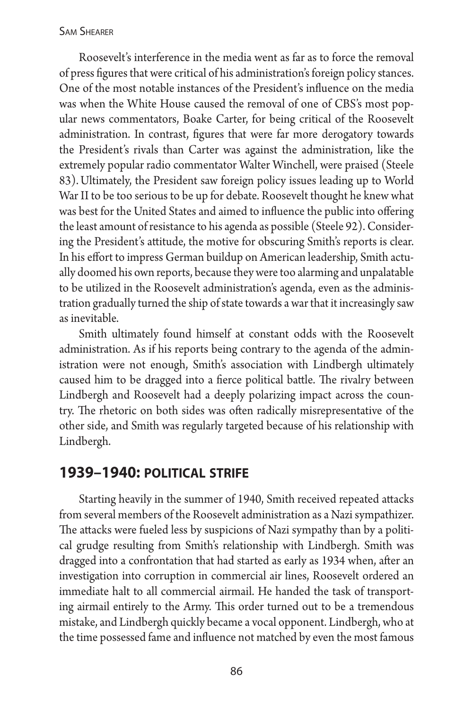Roosevelt's interference in the media went as far as to force the removal of press figures that were critical of his administration's foreign policy stances. One of the most notable instances of the President's influence on the media was when the White House caused the removal of one of CBS's most popular news commentators, Boake Carter, for being critical of the Roosevelt administration. In contrast, figures that were far more derogatory towards the President's rivals than Carter was against the administration, like the extremely popular radio commentator Walter Winchell, were praised (Steele 83). Ultimately, the President saw foreign policy issues leading up to World War II to be too serious to be up for debate. Roosevelt thought he knew what was best for the United States and aimed to influence the public into offering the least amount of resistance to his agenda as possible (Steele 92). Considering the President's attitude, the motive for obscuring Smith's reports is clear. In his effort to impress German buildup on American leadership, Smith actually doomed his own reports, because they were too alarming and unpalatable to be utilized in the Roosevelt administration's agenda, even as the administration gradually turned the ship of state towards a war that it increasingly saw as inevitable.

Smith ultimately found himself at constant odds with the Roosevelt administration. As if his reports being contrary to the agenda of the administration were not enough, Smith's association with Lindbergh ultimately caused him to be dragged into a fierce political battle. The rivalry between Lindbergh and Roosevelt had a deeply polarizing impact across the country. The rhetoric on both sides was often radically misrepresentative of the other side, and Smith was regularly targeted because of his relationship with Lindbergh.

# **1939–1940: political strife**

Starting heavily in the summer of 1940, Smith received repeated attacks from several members of the Roosevelt administration as a Nazi sympathizer. The attacks were fueled less by suspicions of Nazi sympathy than by a political grudge resulting from Smith's relationship with Lindbergh. Smith was dragged into a confrontation that had started as early as 1934 when, after an investigation into corruption in commercial air lines, Roosevelt ordered an immediate halt to all commercial airmail. He handed the task of transporting airmail entirely to the Army. This order turned out to be a tremendous mistake, and Lindbergh quickly became a vocal opponent. Lindbergh, who at the time possessed fame and influence not matched by even the most famous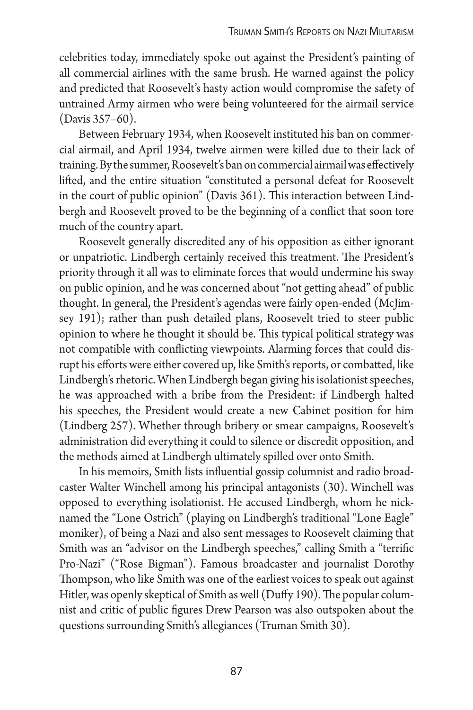celebrities today, immediately spoke out against the President's painting of all commercial airlines with the same brush. He warned against the policy and predicted that Roosevelt's hasty action would compromise the safety of untrained Army airmen who were being volunteered for the airmail service (Davis 357–60).

Between February 1934, when Roosevelt instituted his ban on commercial airmail, and April 1934, twelve airmen were killed due to their lack of training. By the summer, Roosevelt's ban on commercial airmail was effectively lifted, and the entire situation "constituted a personal defeat for Roosevelt in the court of public opinion" (Davis 361). This interaction between Lindbergh and Roosevelt proved to be the beginning of a conflict that soon tore much of the country apart.

Roosevelt generally discredited any of his opposition as either ignorant or unpatriotic. Lindbergh certainly received this treatment. The President's priority through it all was to eliminate forces that would undermine his sway on public opinion, and he was concerned about "not getting ahead" of public thought. In general, the President's agendas were fairly open-ended (McJimsey 191); rather than push detailed plans, Roosevelt tried to steer public opinion to where he thought it should be. This typical political strategy was not compatible with conflicting viewpoints. Alarming forces that could disrupt his efforts were either covered up, like Smith's reports, or combatted, like Lindbergh's rhetoric. When Lindbergh began giving his isolationist speeches, he was approached with a bribe from the President: if Lindbergh halted his speeches, the President would create a new Cabinet position for him (Lindberg 257). Whether through bribery or smear campaigns, Roosevelt's administration did everything it could to silence or discredit opposition, and the methods aimed at Lindbergh ultimately spilled over onto Smith.

In his memoirs, Smith lists influential gossip columnist and radio broadcaster Walter Winchell among his principal antagonists (30). Winchell was opposed to everything isolationist. He accused Lindbergh, whom he nicknamed the "Lone Ostrich" (playing on Lindbergh's traditional "Lone Eagle" moniker), of being a Nazi and also sent messages to Roosevelt claiming that Smith was an "advisor on the Lindbergh speeches," calling Smith a "terrific Pro-Nazi" ("Rose Bigman"). Famous broadcaster and journalist Dorothy Thompson, who like Smith was one of the earliest voices to speak out against Hitler, was openly skeptical of Smith as well (Duffy 190). The popular columnist and critic of public figures Drew Pearson was also outspoken about the questions surrounding Smith's allegiances (Truman Smith 30).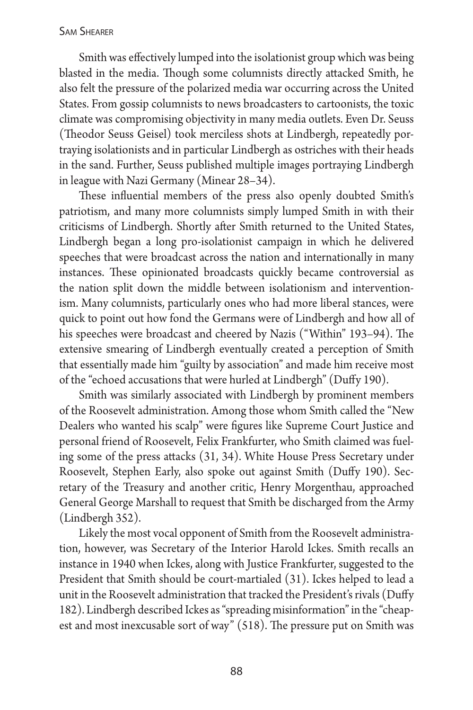Smith was effectively lumped into the isolationist group which was being blasted in the media. Though some columnists directly attacked Smith, he also felt the pressure of the polarized media war occurring across the United States. From gossip columnists to news broadcasters to cartoonists, the toxic climate was compromising objectivity in many media outlets. Even Dr. Seuss (Theodor Seuss Geisel) took merciless shots at Lindbergh, repeatedly portraying isolationists and in particular Lindbergh as ostriches with their heads in the sand. Further, Seuss published multiple images portraying Lindbergh in league with Nazi Germany (Minear 28–34).

These influential members of the press also openly doubted Smith's patriotism, and many more columnists simply lumped Smith in with their criticisms of Lindbergh. Shortly after Smith returned to the United States, Lindbergh began a long pro-isolationist campaign in which he delivered speeches that were broadcast across the nation and internationally in many instances. These opinionated broadcasts quickly became controversial as the nation split down the middle between isolationism and interventionism. Many columnists, particularly ones who had more liberal stances, were quick to point out how fond the Germans were of Lindbergh and how all of his speeches were broadcast and cheered by Nazis ("Within" 193–94). The extensive smearing of Lindbergh eventually created a perception of Smith that essentially made him "guilty by association" and made him receive most of the "echoed accusations that were hurled at Lindbergh" (Duffy 190).

Smith was similarly associated with Lindbergh by prominent members of the Roosevelt administration. Among those whom Smith called the "New Dealers who wanted his scalp" were figures like Supreme Court Justice and personal friend of Roosevelt, Felix Frankfurter, who Smith claimed was fueling some of the press attacks (31, 34). White House Press Secretary under Roosevelt, Stephen Early, also spoke out against Smith (Duffy 190). Secretary of the Treasury and another critic, Henry Morgenthau, approached General George Marshall to request that Smith be discharged from the Army (Lindbergh 352).

Likely the most vocal opponent of Smith from the Roosevelt administration, however, was Secretary of the Interior Harold Ickes. Smith recalls an instance in 1940 when Ickes, along with Justice Frankfurter, suggested to the President that Smith should be court-martialed (31). Ickes helped to lead a unit in the Roosevelt administration that tracked the President's rivals (Duffy 182). Lindbergh described Ickes as "spreading misinformation" in the "cheapest and most inexcusable sort of way" (518). The pressure put on Smith was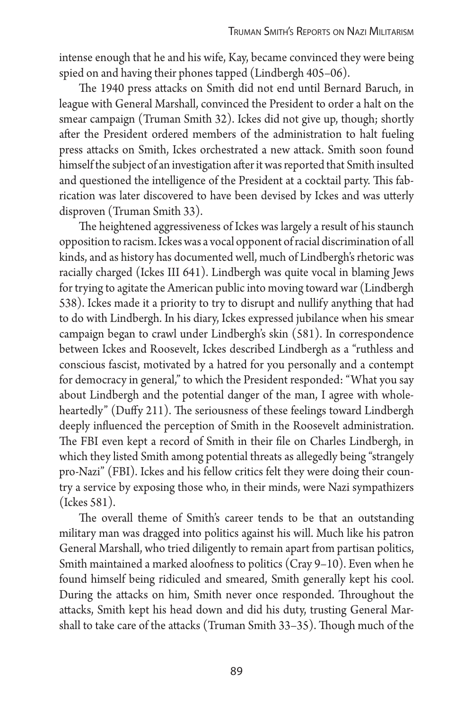intense enough that he and his wife, Kay, became convinced they were being spied on and having their phones tapped (Lindbergh 405–06).

The 1940 press attacks on Smith did not end until Bernard Baruch, in league with General Marshall, convinced the President to order a halt on the smear campaign (Truman Smith 32). Ickes did not give up, though; shortly after the President ordered members of the administration to halt fueling press attacks on Smith, Ickes orchestrated a new attack. Smith soon found himself the subject of an investigation after it was reported that Smith insulted and questioned the intelligence of the President at a cocktail party. This fabrication was later discovered to have been devised by Ickes and was utterly disproven (Truman Smith 33).

The heightened aggressiveness of Ickes was largely a result of his staunch opposition to racism. Ickes was a vocal opponent of racial discrimination of all kinds, and as history has documented well, much of Lindbergh's rhetoric was racially charged (Ickes III 641). Lindbergh was quite vocal in blaming Jews for trying to agitate the American public into moving toward war (Lindbergh 538). Ickes made it a priority to try to disrupt and nullify anything that had to do with Lindbergh. In his diary, Ickes expressed jubilance when his smear campaign began to crawl under Lindbergh's skin (581). In correspondence between Ickes and Roosevelt, Ickes described Lindbergh as a "ruthless and conscious fascist, motivated by a hatred for you personally and a contempt for democracy in general," to which the President responded: "What you say about Lindbergh and the potential danger of the man, I agree with wholeheartedly" (Duffy 211). The seriousness of these feelings toward Lindbergh deeply influenced the perception of Smith in the Roosevelt administration. The FBI even kept a record of Smith in their file on Charles Lindbergh, in which they listed Smith among potential threats as allegedly being "strangely pro-Nazi" (FBI). Ickes and his fellow critics felt they were doing their country a service by exposing those who, in their minds, were Nazi sympathizers (Ickes 581).

The overall theme of Smith's career tends to be that an outstanding military man was dragged into politics against his will. Much like his patron General Marshall, who tried diligently to remain apart from partisan politics, Smith maintained a marked aloofness to politics (Cray 9–10). Even when he found himself being ridiculed and smeared, Smith generally kept his cool. During the attacks on him, Smith never once responded. Throughout the attacks, Smith kept his head down and did his duty, trusting General Marshall to take care of the attacks (Truman Smith 33–35). Though much of the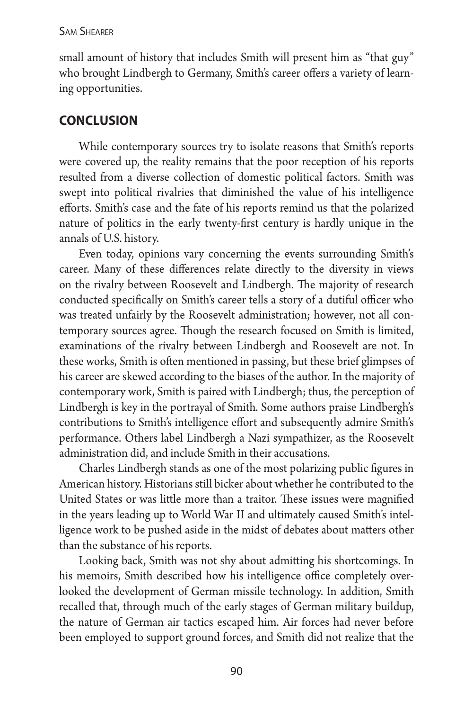small amount of history that includes Smith will present him as "that guy" who brought Lindbergh to Germany, Smith's career offers a variety of learning opportunities.

# **conclusion**

While contemporary sources try to isolate reasons that Smith's reports were covered up, the reality remains that the poor reception of his reports resulted from a diverse collection of domestic political factors. Smith was swept into political rivalries that diminished the value of his intelligence efforts. Smith's case and the fate of his reports remind us that the polarized nature of politics in the early twenty-first century is hardly unique in the annals of U.S. history.

Even today, opinions vary concerning the events surrounding Smith's career. Many of these differences relate directly to the diversity in views on the rivalry between Roosevelt and Lindbergh. The majority of research conducted specifically on Smith's career tells a story of a dutiful officer who was treated unfairly by the Roosevelt administration; however, not all contemporary sources agree. Though the research focused on Smith is limited, examinations of the rivalry between Lindbergh and Roosevelt are not. In these works, Smith is often mentioned in passing, but these brief glimpses of his career are skewed according to the biases of the author. In the majority of contemporary work, Smith is paired with Lindbergh; thus, the perception of Lindbergh is key in the portrayal of Smith. Some authors praise Lindbergh's contributions to Smith's intelligence effort and subsequently admire Smith's performance. Others label Lindbergh a Nazi sympathizer, as the Roosevelt administration did, and include Smith in their accusations.

Charles Lindbergh stands as one of the most polarizing public figures in American history. Historians still bicker about whether he contributed to the United States or was little more than a traitor. These issues were magnified in the years leading up to World War II and ultimately caused Smith's intelligence work to be pushed aside in the midst of debates about matters other than the substance of his reports.

Looking back, Smith was not shy about admitting his shortcomings. In his memoirs, Smith described how his intelligence office completely overlooked the development of German missile technology. In addition, Smith recalled that, through much of the early stages of German military buildup, the nature of German air tactics escaped him. Air forces had never before been employed to support ground forces, and Smith did not realize that the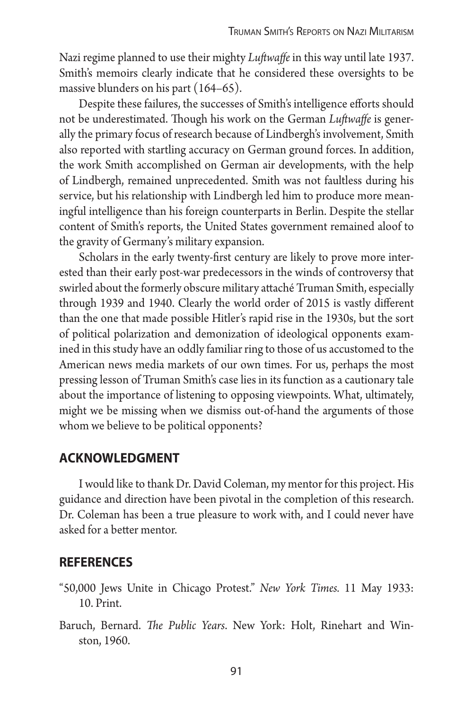Nazi regime planned to use their mighty *Luftwaffe* in this way until late 1937. Smith's memoirs clearly indicate that he considered these oversights to be massive blunders on his part (164–65).

Despite these failures, the successes of Smith's intelligence efforts should not be underestimated. Though his work on the German *Luftwaffe* is generally the primary focus of research because of Lindbergh's involvement, Smith also reported with startling accuracy on German ground forces. In addition, the work Smith accomplished on German air developments, with the help of Lindbergh, remained unprecedented. Smith was not faultless during his service, but his relationship with Lindbergh led him to produce more meaningful intelligence than his foreign counterparts in Berlin. Despite the stellar content of Smith's reports, the United States government remained aloof to the gravity of Germany's military expansion.

Scholars in the early twenty-first century are likely to prove more interested than their early post-war predecessors in the winds of controversy that swirled about the formerly obscure military attaché Truman Smith, especially through 1939 and 1940. Clearly the world order of 2015 is vastly different than the one that made possible Hitler's rapid rise in the 1930s, but the sort of political polarization and demonization of ideological opponents examined in this study have an oddly familiar ring to those of us accustomed to the American news media markets of our own times. For us, perhaps the most pressing lesson of Truman Smith's case lies in its function as a cautionary tale about the importance of listening to opposing viewpoints. What, ultimately, might we be missing when we dismiss out-of-hand the arguments of those whom we believe to be political opponents?

### **acknowledgment**

I would like to thank Dr. David Coleman, my mentor for this project. His guidance and direction have been pivotal in the completion of this research. Dr. Coleman has been a true pleasure to work with, and I could never have asked for a better mentor.

### **references**

- "50,000 Jews Unite in Chicago Protest." *New York Times.* 11 May 1933: 10. Print.
- Baruch, Bernard. *The Public Years*. New York: Holt, Rinehart and Winston, 1960.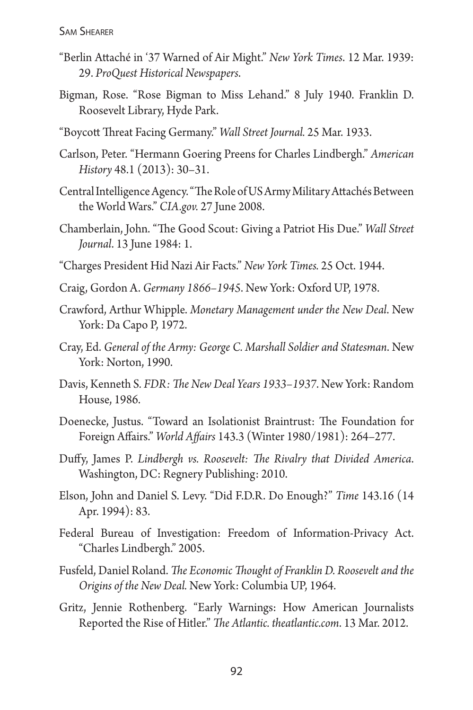- "Berlin Attaché in '37 Warned of Air Might." *New York Times*. 12 Mar. 1939: 29. *ProQuest Historical Newspapers*.
- Bigman, Rose. "Rose Bigman to Miss Lehand." 8 July 1940. Franklin D. Roosevelt Library, Hyde Park.
- "Boycott Threat Facing Germany." *Wall Street Journal.* 25 Mar. 1933.
- Carlson, Peter. "Hermann Goering Preens for Charles Lindbergh." *American History* 48.1 (2013): 30–31.
- Central Intelligence Agency. "The Role of US Army Military Attachés Between the World Wars." *CIA.gov.* 27 June 2008.
- Chamberlain, John. "The Good Scout: Giving a Patriot His Due." *Wall Street Journal*. 13 June 1984: 1.
- "Charges President Hid Nazi Air Facts." *New York Times.* 25 Oct. 1944.
- Craig, Gordon A. *Germany 1866–1945*. New York: Oxford UP, 1978.
- Crawford, Arthur Whipple. *Monetary Management under the New Deal*. New York: Da Capo P, 1972.
- Cray, Ed. *General of the Army: George C. Marshall Soldier and Statesman*. New York: Norton, 1990.
- Davis, Kenneth S*. FDR: The New Deal Years 1933–1937*. New York: Random House, 1986.
- Doenecke, Justus. "Toward an Isolationist Braintrust: The Foundation for Foreign Affairs." *World Affairs* 143.3 (Winter 1980/1981): 264–277.
- Duffy, James P. *Lindbergh vs. Roosevelt: The Rivalry that Divided America*. Washington, DC: Regnery Publishing: 2010.
- Elson, John and Daniel S. Levy. "Did F.D.R. Do Enough?" *Time* 143.16 (14 Apr. 1994): 83.
- Federal Bureau of Investigation: Freedom of Information-Privacy Act. "Charles Lindbergh." 2005.
- Fusfeld, Daniel Roland. *The Economic Thought of Franklin D. Roosevelt and the Origins of the New Deal.* New York: Columbia UP, 1964.
- Gritz, Jennie Rothenberg. "Early Warnings: How American Journalists Reported the Rise of Hitler." *The Atlantic. theatlantic.com*. 13 Mar. 2012.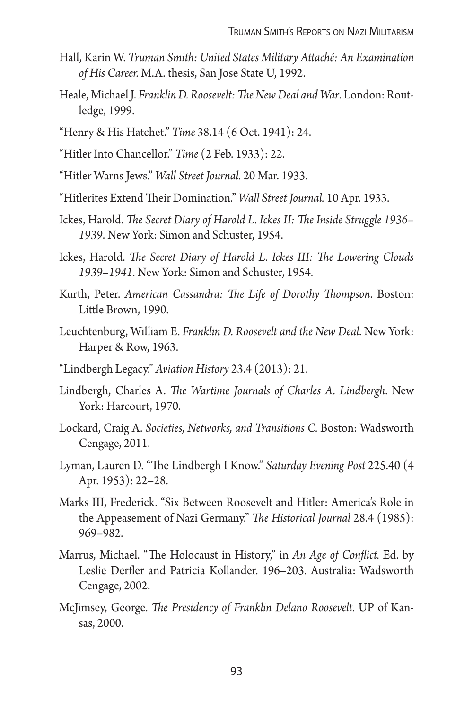- Hall, Karin W. *Truman Smith: United States Military Attaché: An Examination of His Career.* M.A. thesis, San Jose State U, 1992.
- Heale, Michael J. *Franklin D. Roosevelt: The New Deal and War*. London: Routledge, 1999.
- "Henry & His Hatchet." *Time* 38.14 (6 Oct. 1941): 24.
- "Hitler Into Chancellor." *Time* (2 Feb. 1933): 22.
- "Hitler Warns Jews." *Wall Street Journal.* 20 Mar. 1933.
- "Hitlerites Extend Their Domination." *Wall Street Journal.* 10 Apr. 1933.
- Ickes, Harold. *The Secret Diary of Harold L. Ickes II: The Inside Struggle 1936– 1939*. New York: Simon and Schuster, 1954.
- Ickes, Harold. *The Secret Diary of Harold L. Ickes III: The Lowering Clouds 1939–1941*. New York: Simon and Schuster, 1954.
- Kurth, Peter. *American Cassandra: The Life of Dorothy Thompson*. Boston: Little Brown, 1990.
- Leuchtenburg, William E. *Franklin D. Roosevelt and the New Deal*. New York: Harper & Row, 1963.
- "Lindbergh Legacy." *Aviation History* 23.4 (2013): 21.
- Lindbergh, Charles A. *The Wartime Journals of Charles A. Lindbergh*. New York: Harcourt, 1970.
- Lockard, Craig A. *Societies, Networks, and Transitions C.* Boston: Wadsworth Cengage, 2011.
- Lyman, Lauren D. "The Lindbergh I Know." *Saturday Evening Post* 225.40 (4 Apr. 1953): 22–28.
- Marks III, Frederick. "Six Between Roosevelt and Hitler: America's Role in the Appeasement of Nazi Germany." *The Historical Journal* 28.4 (1985): 969–982.
- Marrus, Michael. "The Holocaust in History," in *An Age of Conflict.* Ed. by Leslie Derfler and Patricia Kollander. 196–203. Australia: Wadsworth Cengage, 2002.
- McJimsey, George. *The Presidency of Franklin Delano Roosevelt*. UP of Kansas, 2000.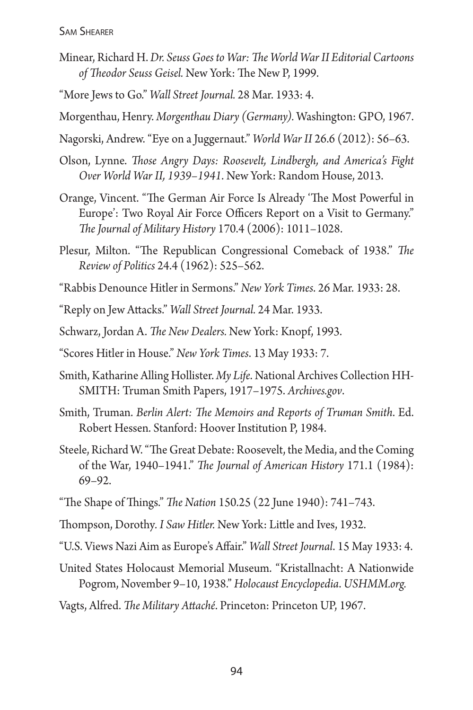- Minear, Richard H.*Dr. Seuss Goes to War: The World War II Editorial Cartoons of Theodor Seuss Geisel.* New York: The New P, 1999.
- "More Jews to Go." *Wall Street Journal.* 28 Mar. 1933: 4.
- Morgenthau, Henry. *Morgenthau Diary (Germany).* Washington: GPO, 1967.
- Nagorski, Andrew. "Eye on a Juggernaut." *World War II* 26.6 (2012): 56–63.
- Olson, Lynne. *Those Angry Days: Roosevelt, Lindbergh, and America's Fight Over World War II, 1939–1941*. New York: Random House, 2013.
- Orange, Vincent. "The German Air Force Is Already 'The Most Powerful in Europe': Two Royal Air Force Officers Report on a Visit to Germany." *The Journal of Military History* 170.4 (2006): 1011–1028.
- Plesur, Milton. "The Republican Congressional Comeback of 1938." *The Review of Politics* 24.4 (1962): 525–562.
- "Rabbis Denounce Hitler in Sermons." *New York Times*. 26 Mar. 1933: 28.
- "Reply on Jew Attacks." *Wall Street Journal.* 24 Mar. 1933.
- Schwarz, Jordan A. *The New Dealers.* New York: Knopf, 1993.
- "Scores Hitler in House." *New York Times*. 13 May 1933: 7.
- Smith, Katharine Alling Hollister. *My Life*. National Archives Collection HH-SMITH: Truman Smith Papers, 1917–1975. *Archives.gov*.
- Smith, Truman. *Berlin Alert: The Memoirs and Reports of Truman Smith*. Ed. Robert Hessen. Stanford: Hoover Institution P, 1984.
- Steele, Richard W. "The Great Debate: Roosevelt, the Media, and the Coming of the War, 1940–1941." *The Journal of American History* 171.1 (1984): 69–92.
- "The Shape of Things." *The Nation* 150.25 (22 June 1940): 741–743.
- Thompson, Dorothy*. I Saw Hitler.* New York: Little and Ives, 1932.
- "U.S. Views Nazi Aim as Europe's Affair." *Wall Street Journal*. 15 May 1933: 4.
- United States Holocaust Memorial Museum. "Kristallnacht: A Nationwide Pogrom, November 9–10, 1938." *Holocaust Encyclopedia*. *USHMM.org.*
- Vagts, Alfred. *The Military Attaché*. Princeton: Princeton UP, 1967.